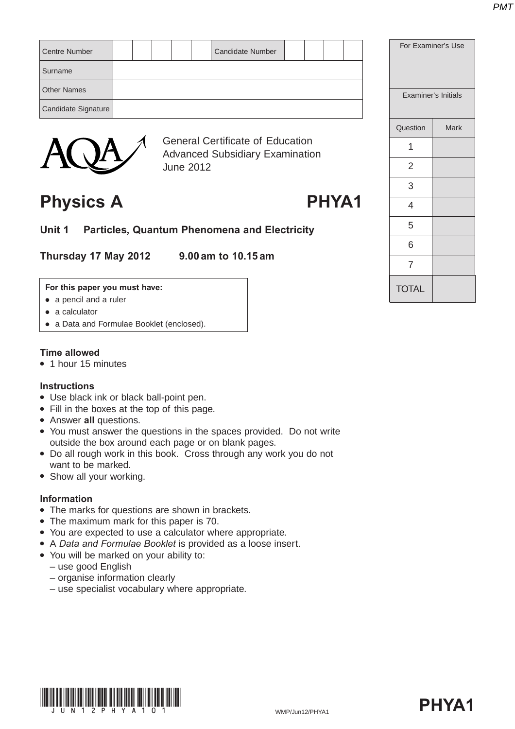| Centre Number       |  |  | <b>Candidate Number</b> |  |  |
|---------------------|--|--|-------------------------|--|--|
| Surname             |  |  |                         |  |  |
| <b>Other Names</b>  |  |  |                         |  |  |
| Candidate Signature |  |  |                         |  |  |
|                     |  |  |                         |  |  |



General Certificate of Education Advanced Subsidiary Examination June 2012

# Physics A **PHYA1**

**Unit 1 Particles, Quantum Phenomena and Electricity**

**Thursday 17 May 2012 9.00 am to 10.15 am**

#### **For this paper you must have:**

- $\bullet$  a pencil and a ruler
- $\bullet$  a calculator
- a Data and Formulae Booklet (enclosed).

### **Time allowed**

• 1 hour 15 minutes

### **Instructions**

- Use black ink or black ball-point pen.
- Fill in the boxes at the top of this page.
- **Answer all questions.**
- You must answer the questions in the spaces provided. Do not write outside the box around each page or on blank pages.
- Do all rough work in this book. Cross through any work you do not want to be marked.
- Show all your working.

### **Information**

- The marks for questions are shown in brackets.
- The maximum mark for this paper is 70.
- You are expected to use a calculator where appropriate.
- A *Data and Formulae Booklet* is provided as a loose insert.
- You will be marked on your ability to:
	- use good English
	- organise information clearly
	- use specialist vocabulary where appropriate.





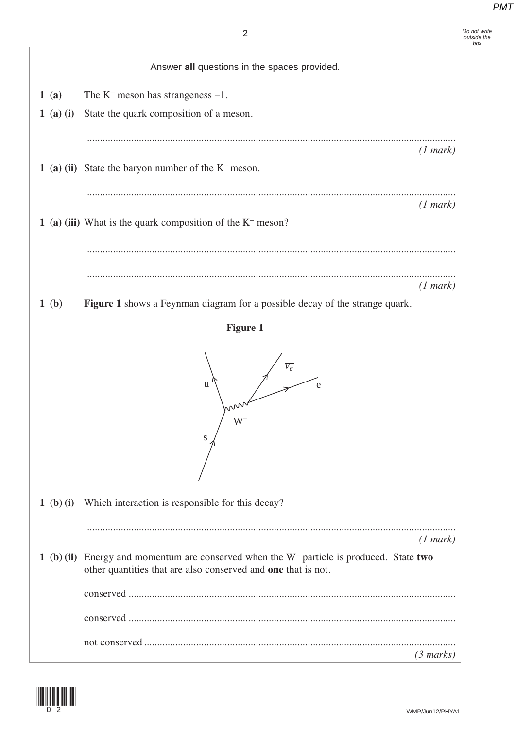|             | $\overline{2}$                                                                                                                                               | Do not write<br>outside the<br>box |
|-------------|--------------------------------------------------------------------------------------------------------------------------------------------------------------|------------------------------------|
|             | Answer all questions in the spaces provided.                                                                                                                 |                                    |
| 1(a)        | The $K^-$ meson has strangeness $-1$ .                                                                                                                       |                                    |
| $1$ (a) (i) | State the quark composition of a meson.                                                                                                                      |                                    |
|             |                                                                                                                                                              |                                    |
|             | (1 mark)                                                                                                                                                     |                                    |
|             | 1 (a) (ii) State the baryon number of the $K$ <sup>-</sup> meson.                                                                                            |                                    |
|             | (1 mark)                                                                                                                                                     |                                    |
|             | 1 (a) (iii) What is the quark composition of the $K-$ meson?                                                                                                 |                                    |
|             |                                                                                                                                                              |                                    |
|             |                                                                                                                                                              |                                    |
|             | (1 mark)                                                                                                                                                     |                                    |
| 1(b)        | Figure 1 shows a Feynman diagram for a possible decay of the strange quark.                                                                                  |                                    |
|             | <b>Figure 1</b>                                                                                                                                              |                                    |
|             | u<br>$\mathrm{W}^{\scriptscriptstyle{\mathsf{I}}}$<br>S                                                                                                      |                                    |
| 1 (b) (i)   | Which interaction is responsible for this decay?                                                                                                             |                                    |
|             |                                                                                                                                                              |                                    |
|             | (1 mark)                                                                                                                                                     |                                    |
|             | 1 (b) (ii) Energy and momentum are conserved when the $W$ - particle is produced. State two<br>other quantities that are also conserved and one that is not. |                                    |
|             |                                                                                                                                                              |                                    |
|             |                                                                                                                                                              |                                    |
|             |                                                                                                                                                              |                                    |
|             | (3 marks)                                                                                                                                                    |                                    |

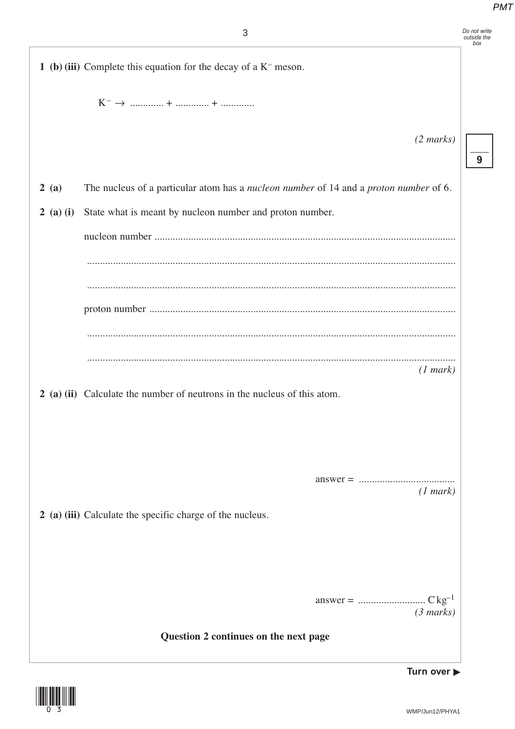| Do not write<br>outside the<br>box                                                    |
|---------------------------------------------------------------------------------------|
|                                                                                       |
|                                                                                       |
| $(2 \text{ marks})$                                                                   |
| 9                                                                                     |
| The nucleus of a particular atom has a nucleon number of 14 and a proton number of 6. |
|                                                                                       |
|                                                                                       |
|                                                                                       |
|                                                                                       |
|                                                                                       |
|                                                                                       |
| (1 mark)                                                                              |
|                                                                                       |
|                                                                                       |
|                                                                                       |
|                                                                                       |
| (1 mark)                                                                              |
|                                                                                       |
|                                                                                       |
|                                                                                       |
| (3 marks)                                                                             |
|                                                                                       |
| Turn over $\blacktriangleright$                                                       |
|                                                                                       |

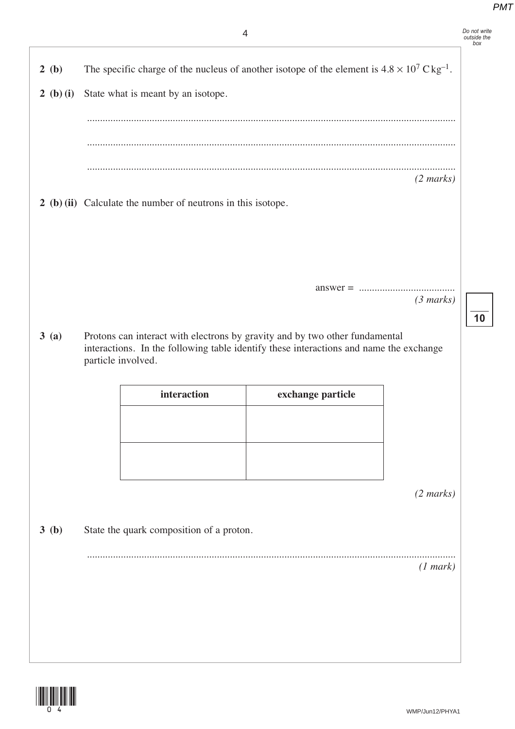*Do not write outside the box*

**10**

**2** (b) The specific charge of the nucleus of another isotope of the element is  $4.8 \times 10^7$  C kg<sup>-1</sup>.

**2 (b) (i)** State what is meant by an isotope. .............................................................................................................................................. .............................................................................................................................................. .............................................................................................................................................. *(2 marks)* **2 (b) (ii)** Calculate the number of neutrons in this isotope. answer = ..................................... *(3 marks)* **3 (a)** Protons can interact with electrons by gravity and by two other fundamental interactions. In the following table identify these interactions and name the exchange particle involved. *(2 marks)* **3 (b)** State the quark composition of a proton. .............................................................................................................................................. *(1 mark)* **interaction exchange particle**

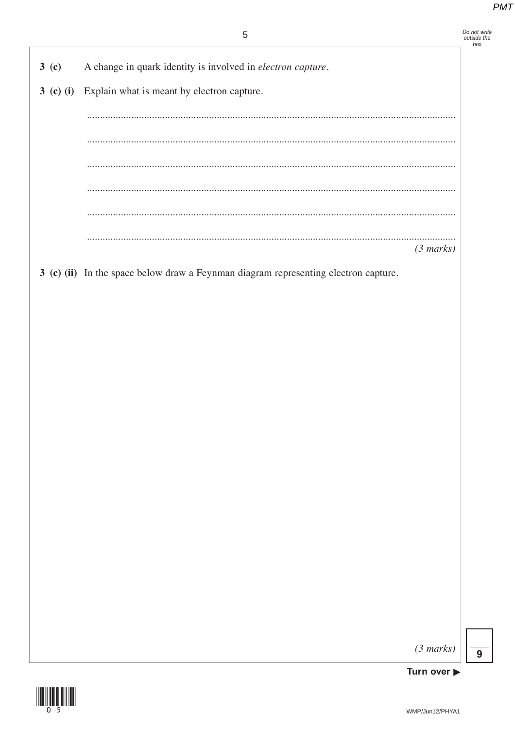Do not write<br>outside the<br>box

- A change in quark identity is involved in electron capture.  $3<sub>(c)</sub>$
- 3 (c) (i) Explain what is meant by electron capture.

. . . . . . .  $(3 marks)$ 

3 (c) (ii) In the space below draw a Feynman diagram representing electron capture.

 $(3 \text{ marks})$ 



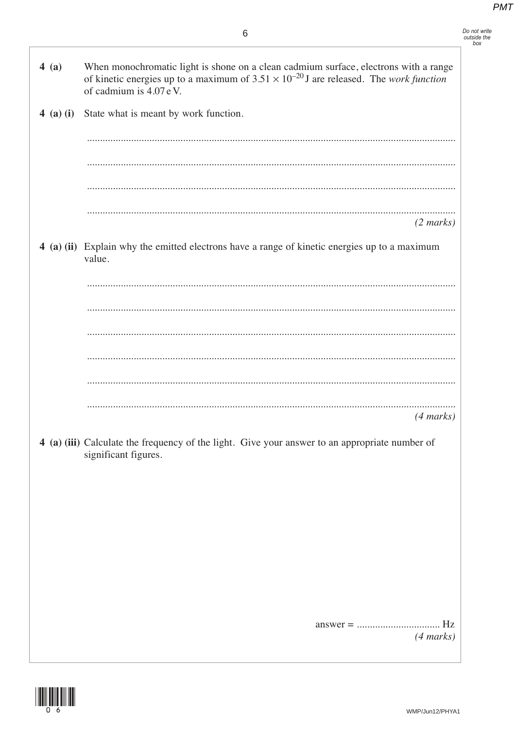When monochromatic light is shone on a clean cadmium surface, electrons with a range  $4(a)$ of kinetic energies up to a maximum of  $3.51 \times 10^{-20}$  J are released. The *work function* of cadmium is 4.07 eV. 4 (a) (i) State what is meant by work function.  $(2 \text{ marks})$ 4 (a) (ii) Explain why the emitted electrons have a range of kinetic energies up to a maximum value.  $(4 \text{ marks})$ 4 (a) (iii) Calculate the frequency of the light. Give your answer to an appropriate number of significant figures.  $(4 marks)$ 

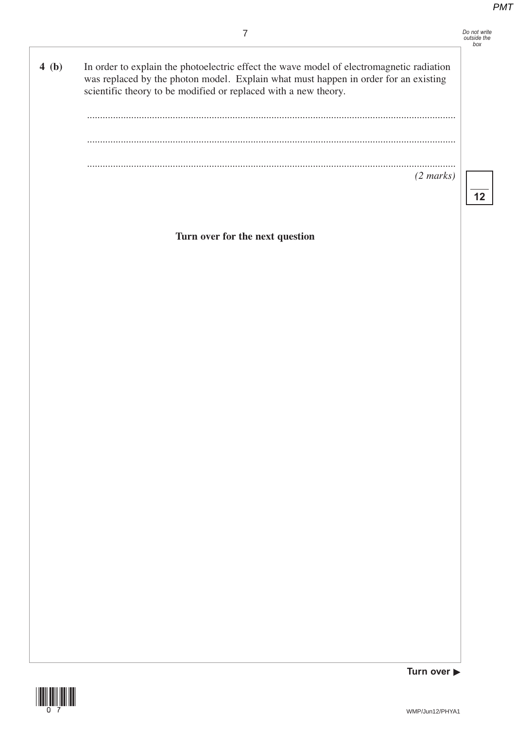**12**

7 **4 (b)** In order to explain the photoelectric effect the wave model of electromagnetic radiation was replaced by the photon model. Explain what must happen in order for an existing scientific theory to be modified or replaced with a new theory. .............................................................................................................................................. .............................................................................................................................................. .............................................................................................................................................. *(2 marks)* **Turn over for the next question**

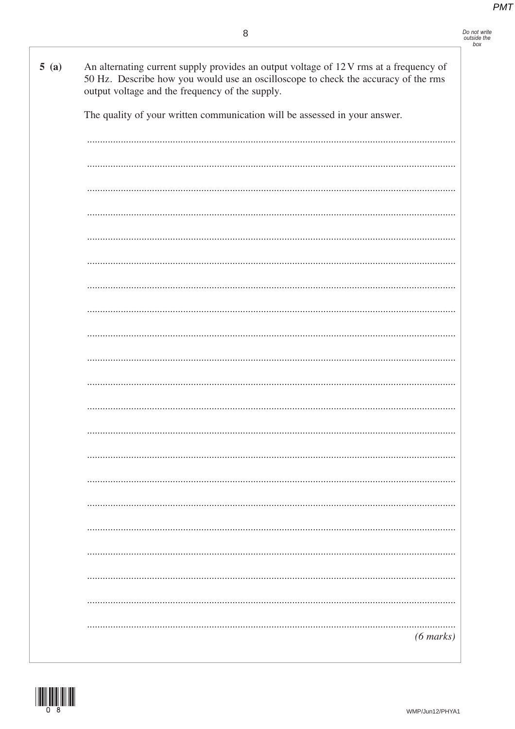| 5(a) | An alternating current supply provides an output voltage of 12V rms at a frequency of<br>50 Hz. Describe how you would use an oscilloscope to check the accuracy of the rms<br>output voltage and the frequency of the supply. |
|------|--------------------------------------------------------------------------------------------------------------------------------------------------------------------------------------------------------------------------------|
|      | The quality of your written communication will be assessed in your answer.                                                                                                                                                     |
|      |                                                                                                                                                                                                                                |
|      |                                                                                                                                                                                                                                |
|      |                                                                                                                                                                                                                                |
|      |                                                                                                                                                                                                                                |
|      |                                                                                                                                                                                                                                |
|      |                                                                                                                                                                                                                                |
|      |                                                                                                                                                                                                                                |
|      |                                                                                                                                                                                                                                |
|      |                                                                                                                                                                                                                                |
|      |                                                                                                                                                                                                                                |
|      |                                                                                                                                                                                                                                |
|      |                                                                                                                                                                                                                                |
|      |                                                                                                                                                                                                                                |
|      |                                                                                                                                                                                                                                |
|      |                                                                                                                                                                                                                                |
|      |                                                                                                                                                                                                                                |
|      |                                                                                                                                                                                                                                |
|      |                                                                                                                                                                                                                                |
|      | $(6 \text{ marks})$                                                                                                                                                                                                            |

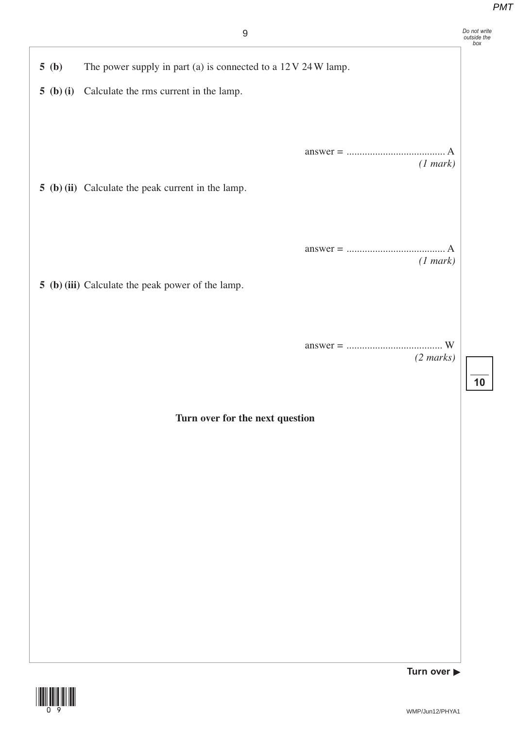| 9                                                                      | Do not write<br>outside the<br>box |
|------------------------------------------------------------------------|------------------------------------|
| The power supply in part (a) is connected to a 12 V 24 W lamp.<br>5(b) |                                    |
| Calculate the rms current in the lamp.<br>5 (b) (i)                    |                                    |
|                                                                        |                                    |
|                                                                        |                                    |
| (1 mark)<br>5 (b) (ii) Calculate the peak current in the lamp.         |                                    |
|                                                                        |                                    |
| A                                                                      |                                    |
| (1 mark)                                                               |                                    |
| 5 (b) (iii) Calculate the peak power of the lamp.                      |                                    |
|                                                                        |                                    |
| $(2 \text{ marks})$                                                    |                                    |
|                                                                        | 10                                 |
| Turn over for the next question                                        |                                    |
|                                                                        |                                    |
|                                                                        |                                    |
|                                                                        |                                    |
|                                                                        |                                    |
|                                                                        |                                    |
|                                                                        |                                    |
|                                                                        |                                    |
|                                                                        |                                    |

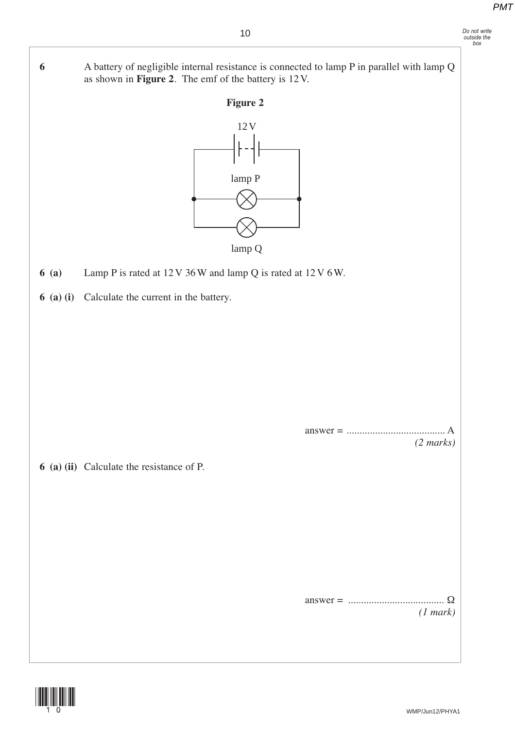**6** A battery of negligible internal resistance is connected to lamp P in parallel with lamp Q as shown in **Figure 2**. The emf of the battery is 12 V.



lamp Q

- **6 (a)** Lamp P is rated at 12 V 36 W and lamp Q is rated at 12 V 6 W.
- **6 (a) (i)** Calculate the current in the battery.

 answer = ...................................... A *(2 marks)*

**6 (a) (ii)** Calculate the resistance of P.

 answer = ..................................... Ω *(1 mark)*

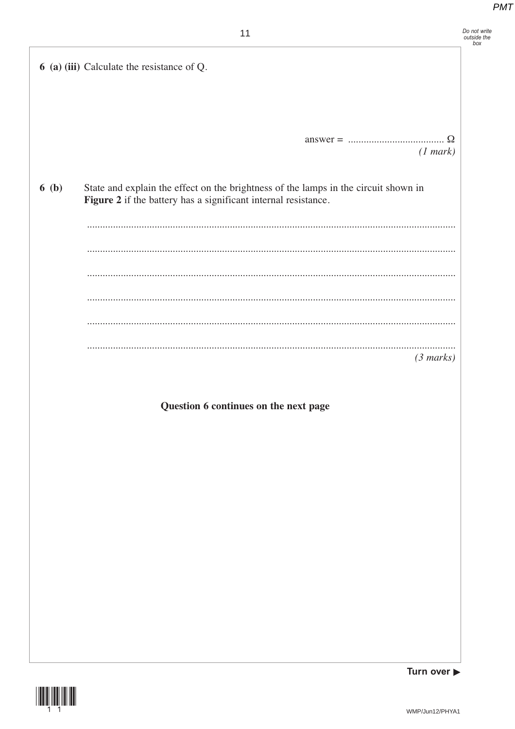|      | 11                                                                                                                                                    | Do not write<br>outside the<br>box |
|------|-------------------------------------------------------------------------------------------------------------------------------------------------------|------------------------------------|
|      | 6 (a) (iii) Calculate the resistance of Q.                                                                                                            |                                    |
|      |                                                                                                                                                       |                                    |
|      |                                                                                                                                                       |                                    |
|      |                                                                                                                                                       |                                    |
|      | (1 mark)                                                                                                                                              |                                    |
| 6(b) | State and explain the effect on the brightness of the lamps in the circuit shown in<br>Figure 2 if the battery has a significant internal resistance. |                                    |
|      |                                                                                                                                                       |                                    |
|      |                                                                                                                                                       |                                    |
|      |                                                                                                                                                       |                                    |
|      |                                                                                                                                                       |                                    |
|      |                                                                                                                                                       |                                    |
|      | <br>(3 marks)                                                                                                                                         |                                    |
|      |                                                                                                                                                       |                                    |
|      | Question 6 continues on the next page                                                                                                                 |                                    |
|      |                                                                                                                                                       |                                    |
|      |                                                                                                                                                       |                                    |
|      |                                                                                                                                                       |                                    |
|      |                                                                                                                                                       |                                    |
|      |                                                                                                                                                       |                                    |
|      |                                                                                                                                                       |                                    |
|      |                                                                                                                                                       |                                    |
|      |                                                                                                                                                       |                                    |
|      |                                                                                                                                                       |                                    |
|      |                                                                                                                                                       |                                    |
|      |                                                                                                                                                       |                                    |



Turn over  $\blacktriangleright$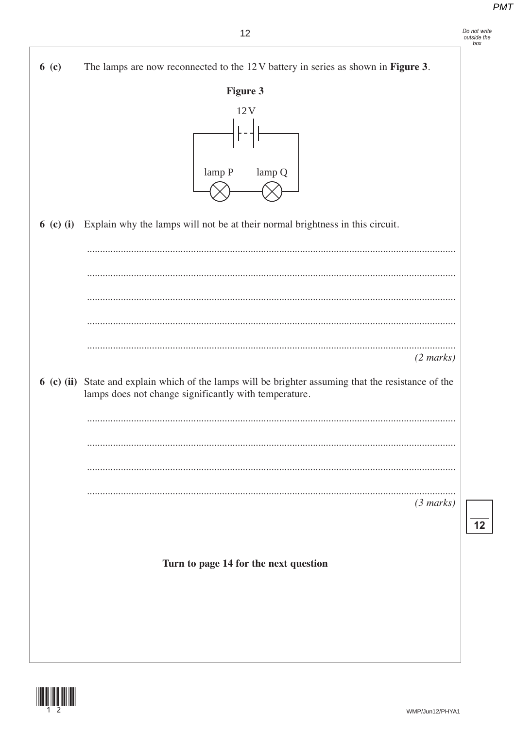



 $6(c)$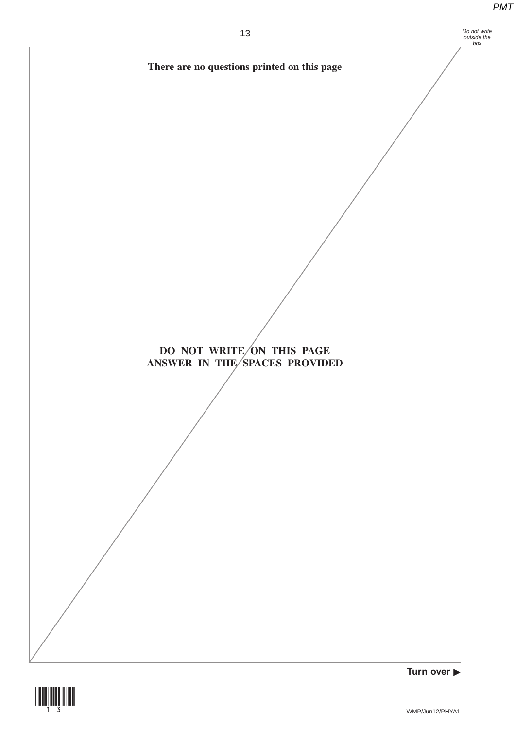

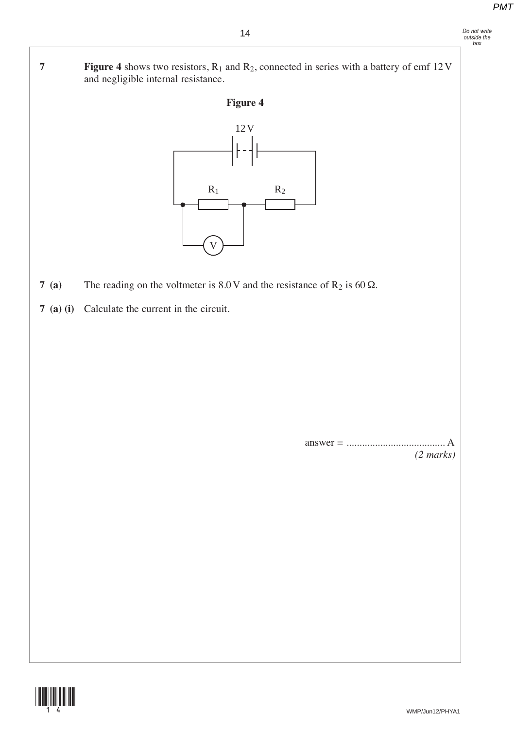- *Do not write outside the box*
- **7 Figure 4** shows two resistors, R<sub>1</sub> and R<sub>2</sub>, connected in series with a battery of emf 12 V and negligible internal resistance.





- **7 (a)** The reading on the voltmeter is  $8.0 \text{ V}$  and the resistance of R<sub>2</sub> is  $60 \Omega$ .
- **7 (a) (i)** Calculate the current in the circuit.

 answer = ...................................... A *(2 marks)*

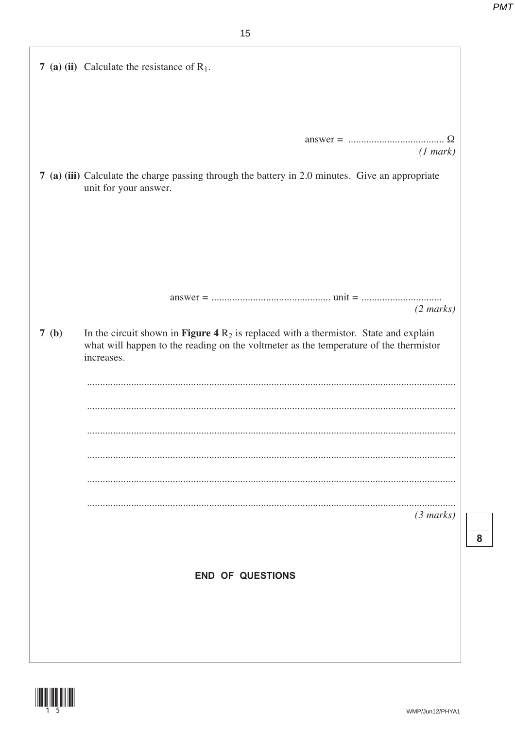|      | 7 (a) (ii) Calculate the resistance of $R_1$ .                                                                                                                                                 |
|------|------------------------------------------------------------------------------------------------------------------------------------------------------------------------------------------------|
|      |                                                                                                                                                                                                |
|      |                                                                                                                                                                                                |
|      | (1 mark)                                                                                                                                                                                       |
|      | 7 (a) (iii) Calculate the charge passing through the battery in 2.0 minutes. Give an appropriate<br>unit for your answer.                                                                      |
|      |                                                                                                                                                                                                |
|      |                                                                                                                                                                                                |
|      |                                                                                                                                                                                                |
|      | $(2 \text{ marks})$                                                                                                                                                                            |
| 7(b) | In the circuit shown in Figure 4 $R_2$ is replaced with a thermistor. State and explain<br>what will happen to the reading on the voltmeter as the temperature of the thermistor<br>increases. |
|      |                                                                                                                                                                                                |
|      |                                                                                                                                                                                                |
|      |                                                                                                                                                                                                |
|      |                                                                                                                                                                                                |
|      |                                                                                                                                                                                                |
|      |                                                                                                                                                                                                |
|      | $(3 \text{ marks})$                                                                                                                                                                            |
|      |                                                                                                                                                                                                |
|      |                                                                                                                                                                                                |
|      | <b>END OF QUESTIONS</b>                                                                                                                                                                        |
|      |                                                                                                                                                                                                |
|      |                                                                                                                                                                                                |
|      |                                                                                                                                                                                                |
|      |                                                                                                                                                                                                |



 $\overline{\mathbf{8}}$